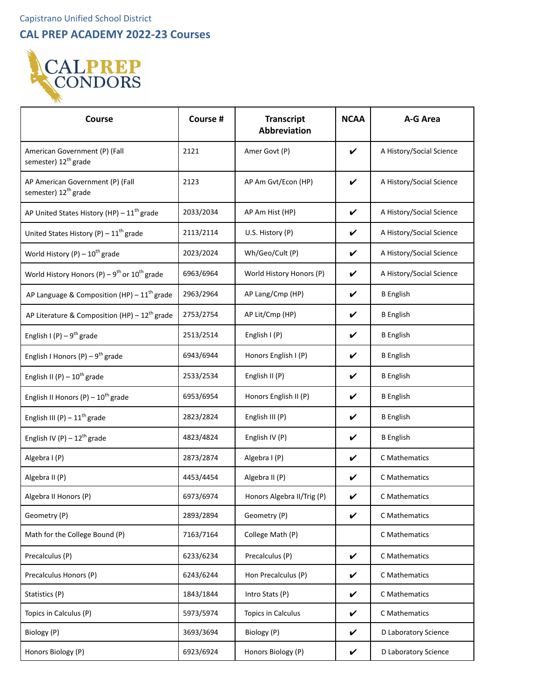**CAL PREP ACADEMY 2022-23 Courses**



| <b>Course</b>                                                        | Course #  | <b>Transcript</b><br><b>Abbreviation</b> | <b>NCAA</b>                | A-G Area                 |
|----------------------------------------------------------------------|-----------|------------------------------------------|----------------------------|--------------------------|
| American Government (P) (Fall<br>semester) 12 <sup>th</sup> grade    | 2121      | Amer Govt (P)                            | $\checkmark$               | A History/Social Science |
| AP American Government (P) (Fall<br>semester) 12 <sup>th</sup> grade | 2123      | AP Am Gvt/Econ (HP)                      | V                          | A History/Social Science |
| AP United States History (HP) - 11 <sup>th</sup> grade               | 2033/2034 | AP Am Hist (HP)                          | V                          | A History/Social Science |
| United States History (P) - $11^{\text{th}}$ grade                   | 2113/2114 | U.S. History (P)                         | V                          | A History/Social Science |
| World History $(P) - 10^{th}$ grade                                  | 2023/2024 | Wh/Geo/Cult (P)                          | V                          | A History/Social Science |
| World History Honors (P) – $9^{th}$ or $10^{th}$ grade               | 6963/6964 | World History Honors (P)                 | $\boldsymbol{\mathcal{V}}$ | A History/Social Science |
| AP Language & Composition (HP) - $11^{th}$ grade                     | 2963/2964 | AP Lang/Cmp (HP)                         | V                          | <b>B</b> English         |
| AP Literature & Composition (HP) - $12^{th}$ grade                   | 2753/2754 | AP Lit/Cmp (HP)                          | $\boldsymbol{\nu}$         | <b>B</b> English         |
| English I (P) – $9^{th}$ grade                                       | 2513/2514 | English $I(P)$                           | V                          | <b>B</b> English         |
| English I Honors (P) – $9^{th}$ grade                                | 6943/6944 | Honors English I (P)                     | V                          | <b>B</b> English         |
| English II (P) $-10^{th}$ grade                                      | 2533/2534 | English II (P)                           | V                          | <b>B</b> English         |
| English II Honors $(P) - 10^{th}$ grade                              | 6953/6954 | Honors English II (P)                    | V                          | <b>B</b> English         |
| English III (P) $-11^{\text{th}}$ grade                              | 2823/2824 | English III (P)                          | V                          | <b>B</b> English         |
| English IV (P) $-12^{th}$ grade                                      | 4823/4824 | English IV (P)                           | V                          | <b>B</b> English         |
| Algebra I (P)                                                        | 2873/2874 | Algebra I (P)                            | V                          | C Mathematics            |
| Algebra II (P)                                                       | 4453/4454 | Algebra II (P)                           | V                          | C Mathematics            |
| Algebra II Honors (P)                                                | 6973/6974 | Honors Algebra II/Trig (P)               | V                          | C Mathematics            |
| Geometry (P)                                                         | 2893/2894 | Geometry (P)                             | $\checkmark$               | C Mathematics            |
| Math for the College Bound (P)                                       | 7163/7164 | College Math (P)                         |                            | C Mathematics            |
| Precalculus (P)                                                      | 6233/6234 | Precalculus (P)                          | V                          | C Mathematics            |
| Precalculus Honors (P)                                               | 6243/6244 | Hon Precalculus (P)                      | V                          | C Mathematics            |
| Statistics (P)                                                       | 1843/1844 | Intro Stats (P)                          | V                          | C Mathematics            |
| Topics in Calculus (P)                                               | 5973/5974 | Topics in Calculus                       | V                          | C Mathematics            |
| Biology (P)                                                          | 3693/3694 | Biology (P)                              | V                          | D Laboratory Science     |
| Honors Biology (P)                                                   | 6923/6924 | Honors Biology (P)                       | $\checkmark$               | D Laboratory Science     |